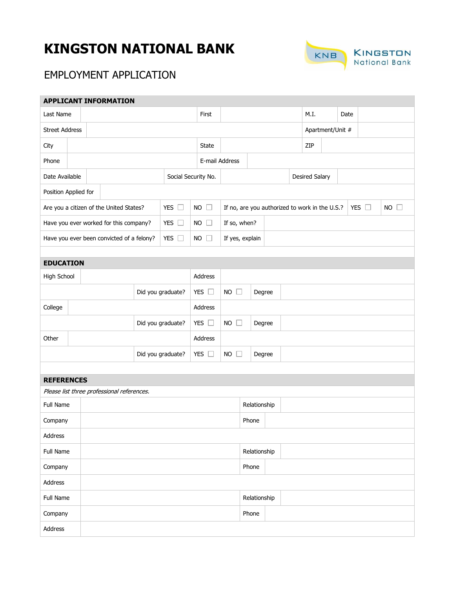# **KINGSTON NATIONAL BANK**



# EMPLOYMENT APPLICATION

| <b>APPLICANT INFORMATION</b>              |  |  |                                            |                     |               |                                                |                          |              |       |      |                       |               |             |  |  |  |
|-------------------------------------------|--|--|--------------------------------------------|---------------------|---------------|------------------------------------------------|--------------------------|--------------|-------|------|-----------------------|---------------|-------------|--|--|--|
| Last Name                                 |  |  |                                            |                     |               |                                                | First                    |              |       | M.I. |                       | Date          |             |  |  |  |
| <b>Street Address</b>                     |  |  |                                            |                     |               |                                                |                          |              |       |      | Apartment/Unit #      |               |             |  |  |  |
| City                                      |  |  |                                            | State               |               |                                                |                          |              |       | ZIP  |                       |               |             |  |  |  |
| Phone                                     |  |  |                                            |                     |               | E-mail Address                                 |                          |              |       |      |                       |               |             |  |  |  |
| Date Available                            |  |  |                                            | Social Security No. |               |                                                |                          |              |       |      | <b>Desired Salary</b> |               |             |  |  |  |
| Position Applied for                      |  |  |                                            |                     |               |                                                |                          |              |       |      |                       |               |             |  |  |  |
| Are you a citizen of the United States?   |  |  | YES $\square$                              | <b>NO</b>           | $\Box$        | If no, are you authorized to work in the U.S.? |                          |              |       |      |                       | YES $\square$ | $NO$ $\Box$ |  |  |  |
| Have you ever worked for this company?    |  |  |                                            |                     | YES $\square$ |                                                | <b>NO</b><br>$\perp$     | If so, when? |       |      |                       |               |             |  |  |  |
| Have you ever been convicted of a felony? |  |  |                                            | YES $\square$       |               | NO $\Box$                                      | If yes, explain          |              |       |      |                       |               |             |  |  |  |
|                                           |  |  |                                            |                     |               |                                                |                          |              |       |      |                       |               |             |  |  |  |
| <b>EDUCATION</b>                          |  |  |                                            |                     |               |                                                |                          |              |       |      |                       |               |             |  |  |  |
| High School                               |  |  |                                            |                     |               | Address                                        |                          |              |       |      |                       |               |             |  |  |  |
|                                           |  |  | Did you graduate?                          |                     |               | YES $\square$                                  | $NO$ $\Box$<br>Degree    |              |       |      |                       |               |             |  |  |  |
| College                                   |  |  |                                            |                     |               |                                                | Address                  |              |       |      |                       |               |             |  |  |  |
|                                           |  |  | Did you graduate?                          |                     |               | YES $\square$                                  | $NO$ $\Box$<br>Degree    |              |       |      |                       |               |             |  |  |  |
| Other                                     |  |  |                                            | Address             |               |                                                |                          |              |       |      |                       |               |             |  |  |  |
|                                           |  |  |                                            | Did you graduate?   |               | YES $\square$                                  | $NO$ $\square$<br>Degree |              |       |      |                       |               |             |  |  |  |
|                                           |  |  |                                            |                     |               |                                                |                          |              |       |      |                       |               |             |  |  |  |
| <b>REFERENCES</b>                         |  |  |                                            |                     |               |                                                |                          |              |       |      |                       |               |             |  |  |  |
|                                           |  |  | Please list three professional references. |                     |               |                                                |                          |              |       |      |                       |               |             |  |  |  |
| Full Name                                 |  |  |                                            | Relationship        |               |                                                |                          |              |       |      |                       |               |             |  |  |  |
| Company                                   |  |  |                                            |                     |               |                                                |                          |              | Phone |      |                       |               |             |  |  |  |
| Address                                   |  |  |                                            |                     |               |                                                |                          |              |       |      |                       |               |             |  |  |  |
| Full Name                                 |  |  |                                            |                     |               | Relationship                                   |                          |              |       |      |                       |               |             |  |  |  |
| Company                                   |  |  |                                            |                     |               |                                                |                          | Phone        |       |      |                       |               |             |  |  |  |
| Address                                   |  |  |                                            |                     |               |                                                |                          |              |       |      |                       |               |             |  |  |  |
| Full Name                                 |  |  |                                            |                     |               | Relationship                                   |                          |              |       |      |                       |               |             |  |  |  |
| Company                                   |  |  |                                            |                     |               |                                                |                          |              | Phone |      |                       |               |             |  |  |  |
| Address                                   |  |  |                                            |                     |               |                                                |                          |              |       |      |                       |               |             |  |  |  |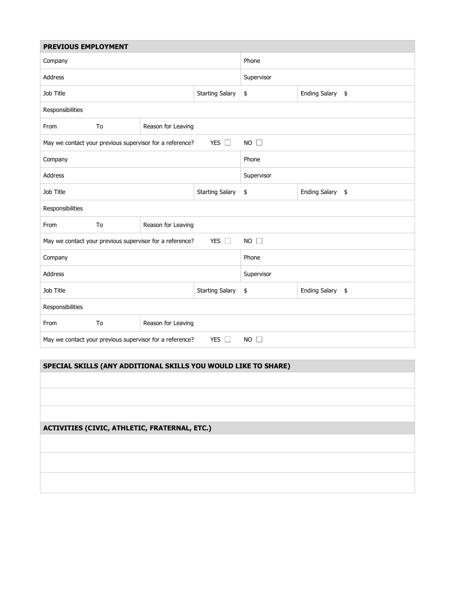| <b>PREVIOUS EMPLOYMENT</b>                                                                      |    |                                                          |                |                            |  |  |  |  |  |
|-------------------------------------------------------------------------------------------------|----|----------------------------------------------------------|----------------|----------------------------|--|--|--|--|--|
| Company                                                                                         |    |                                                          | Phone          |                            |  |  |  |  |  |
| <b>Address</b>                                                                                  |    |                                                          | Supervisor     |                            |  |  |  |  |  |
| Job Title                                                                                       |    |                                                          | \$             | Ending Salary \$           |  |  |  |  |  |
| Responsibilities                                                                                |    |                                                          |                |                            |  |  |  |  |  |
| From                                                                                            | To | Reason for Leaving                                       |                |                            |  |  |  |  |  |
|                                                                                                 |    | May we contact your previous supervisor for a reference? | $NO$ $\square$ |                            |  |  |  |  |  |
| Company                                                                                         |    |                                                          | Phone          |                            |  |  |  |  |  |
| <b>Address</b>                                                                                  |    |                                                          | Supervisor     |                            |  |  |  |  |  |
| Job Title                                                                                       |    |                                                          | \$             | <b>Ending Salary</b><br>\$ |  |  |  |  |  |
| Responsibilities                                                                                |    |                                                          |                |                            |  |  |  |  |  |
| From                                                                                            | To | Reason for Leaving                                       |                |                            |  |  |  |  |  |
| $\Box$<br>NO<br><b>YES</b><br>May we contact your previous supervisor for a reference?          |    |                                                          |                |                            |  |  |  |  |  |
| Company                                                                                         |    |                                                          | Phone          |                            |  |  |  |  |  |
| <b>Address</b>                                                                                  |    |                                                          | Supervisor     |                            |  |  |  |  |  |
| Job Title                                                                                       |    |                                                          | \$             | Ending Salary \$           |  |  |  |  |  |
| Responsibilities                                                                                |    |                                                          |                |                            |  |  |  |  |  |
| From                                                                                            | To | Reason for Leaving                                       |                |                            |  |  |  |  |  |
| May we contact your previous supervisor for a reference?<br><b>YES</b><br>$NO$ $\Box$<br>$\Box$ |    |                                                          |                |                            |  |  |  |  |  |

#### **SPECIAL SKILLS (ANY ADDITIONAL SKILLS YOU WOULD LIKE TO SHARE)**

#### **ACTIVITIES (CIVIC, ATHLETIC, FRATERNAL, ETC.)**